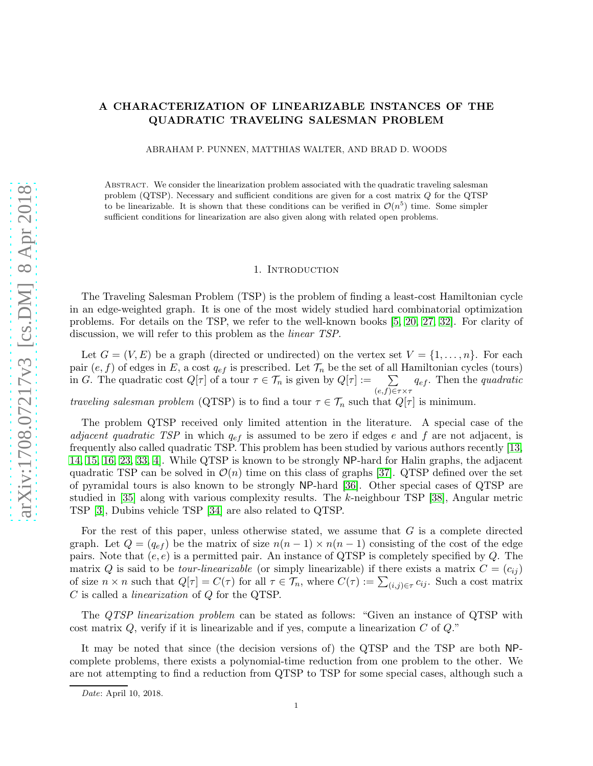# A CHARACTERIZATION OF LINEARIZABLE INSTANCES OF THE QUADRATIC TRAVELING SALESMAN PROBLEM

ABRAHAM P. PUNNEN, MATTHIAS WALTER, AND BRAD D. WOODS

Abstract. We consider the linearization problem associated with the quadratic traveling salesman problem (QTSP). Necessary and sufficient conditions are given for a cost matrix Q for the QTSP to be linearizable. It is shown that these conditions can be verified in  $\mathcal{O}(n^5)$  time. Some simpler sufficient conditions for linearization are also given along with related open problems.

## 1. INTRODUCTION

The Traveling Salesman Problem (TSP) is the problem of finding a least-cost Hamiltonian cycle in an edge-weighted graph. It is one of the most widely studied hard combinatorial optimization problems. For details on the TSP, we refer to the well-known books [\[5,](#page-8-0) [20,](#page-9-0) [27,](#page-9-1) [32\]](#page-9-2). For clarity of discussion, we will refer to this problem as the *linear TSP*.

Let  $G = (V, E)$  be a graph (directed or undirected) on the vertex set  $V = \{1, \ldots, n\}$ . For each pair  $(e, f)$  of edges in E, a cost  $q_{ef}$  is prescribed. Let  $\mathcal{T}_n$  be the set of all Hamiltonian cycles (tours) in G. The quadratic cost  $Q[\tau]$  of a tour  $\tau \in \mathcal{T}_n$  is given by  $Q[\tau] := \sum$  $(e,f)$ ∈ $\tau \times \tau$  $q_{ef}$ . Then the *quadratic* 

traveling salesman problem (QTSP) is to find a tour  $\tau \in \mathcal{T}_n$  such that  $Q[\tau]$  is minimum.

The problem QTSP received only limited attention in the literature. A special case of the *adjacent quadratic TSP* in which  $q_{ef}$  is assumed to be zero if edges e and f are not adjacent, is frequently also called quadratic TSP. This problem has been studied by various authors recently [\[13,](#page-9-3) [14,](#page-9-4) [15,](#page-9-5) [16,](#page-9-6) [23,](#page-9-7) [33,](#page-9-8) [4\]](#page-8-1). While QTSP is known to be strongly NP-hard for Halin graphs, the adjacent quadratic TSP can be solved in  $\mathcal{O}(n)$  time on this class of graphs [\[37\]](#page-10-0). QTSP defined over the set of pyramidal tours is also known to be strongly NP-hard [\[36\]](#page-10-1). Other special cases of QTSP are studied in [\[35\]](#page-10-2) along with various complexity results. The k-neighbour TSP [\[38\]](#page-10-3), Angular metric TSP [\[3\]](#page-8-2), Dubins vehicle TSP [\[34\]](#page-10-4) are also related to QTSP.

For the rest of this paper, unless otherwise stated, we assume that  $G$  is a complete directed graph. Let  $Q = (q_{ef})$  be the matrix of size  $n(n-1) \times n(n-1)$  consisting of the cost of the edge pairs. Note that  $(e, e)$  is a permitted pair. An instance of QTSP is completely specified by  $Q$ . The matrix Q is said to be *tour-linearizable* (or simply linearizable) if there exists a matrix  $C = (c_{ij})$ of size  $n \times n$  such that  $Q[\tau] = C(\tau)$  for all  $\tau \in \mathcal{T}_n$ , where  $C(\tau) := \sum_{(i,j) \in \tau} c_{ij}$ . Such a cost matrix C is called a linearization of Q for the QTSP.

The QTSP linearization problem can be stated as follows: "Given an instance of QTSP with cost matrix  $Q$ , verify if it is linearizable and if yes, compute a linearization  $C$  of  $Q$ ."

It may be noted that since (the decision versions of) the QTSP and the TSP are both NPcomplete problems, there exists a polynomial-time reduction from one problem to the other. We are not attempting to find a reduction from QTSP to TSP for some special cases, although such a

*Date*: April 10, 2018.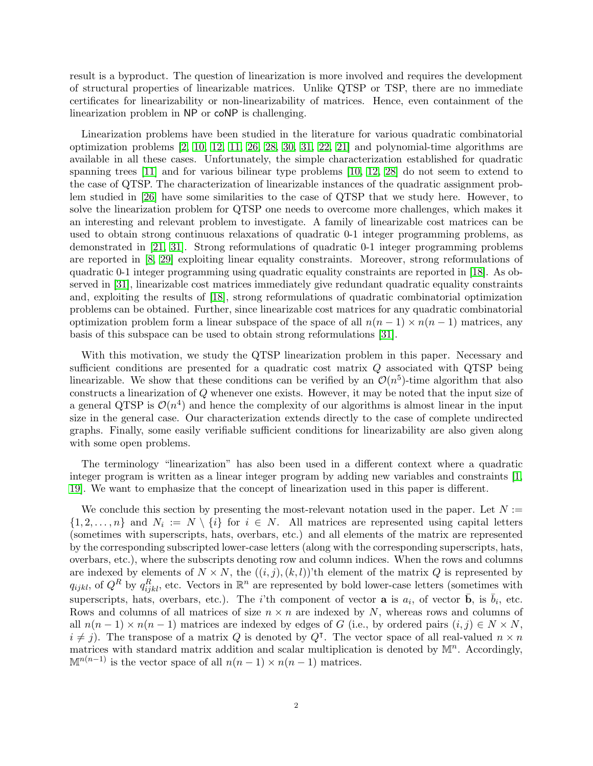result is a byproduct. The question of linearization is more involved and requires the development of structural properties of linearizable matrices. Unlike QTSP or TSP, there are no immediate certificates for linearizability or non-linearizability of matrices. Hence, even containment of the linearization problem in NP or coNP is challenging.

Linearization problems have been studied in the literature for various quadratic combinatorial optimization problems [\[2,](#page-8-3) [10,](#page-9-9) [12,](#page-9-10) [11,](#page-9-11) [26,](#page-9-12) [28,](#page-9-13) [30,](#page-9-14) [31,](#page-9-15) [22,](#page-9-16) [21\]](#page-9-17) and polynomial-time algorithms are available in all these cases. Unfortunately, the simple characterization established for quadratic spanning trees [\[11\]](#page-9-11) and for various bilinear type problems [\[10,](#page-9-9) [12,](#page-9-10) [28\]](#page-9-13) do not seem to extend to the case of QTSP. The characterization of linearizable instances of the quadratic assignment problem studied in [\[26\]](#page-9-12) have some similarities to the case of QTSP that we study here. However, to solve the linearization problem for QTSP one needs to overcome more challenges, which makes it an interesting and relevant problem to investigate. A family of linearizable cost matrices can be used to obtain strong continuous relaxations of quadratic 0-1 integer programming problems, as demonstrated in [\[21,](#page-9-17) [31\]](#page-9-15). Strong reformulations of quadratic 0-1 integer programming problems are reported in [\[8,](#page-9-18) [29\]](#page-9-19) exploiting linear equality constraints. Moreover, strong reformulations of quadratic 0-1 integer programming using quadratic equality constraints are reported in [\[18\]](#page-9-20). As observed in [\[31\]](#page-9-15), linearizable cost matrices immediately give redundant quadratic equality constraints and, exploiting the results of [\[18\]](#page-9-20), strong reformulations of quadratic combinatorial optimization problems can be obtained. Further, since linearizable cost matrices for any quadratic combinatorial optimization problem form a linear subspace of the space of all  $n(n - 1) \times n(n - 1)$  matrices, any basis of this subspace can be used to obtain strong reformulations [\[31\]](#page-9-15).

With this motivation, we study the QTSP linearization problem in this paper. Necessary and sufficient conditions are presented for a quadratic cost matrix Q associated with QTSP being linearizable. We show that these conditions can be verified by an  $\mathcal{O}(n^5)$ -time algorithm that also constructs a linearization of Q whenever one exists. However, it may be noted that the input size of a general QTSP is  $\mathcal{O}(n^4)$  and hence the complexity of our algorithms is almost linear in the input size in the general case. Our characterization extends directly to the case of complete undirected graphs. Finally, some easily verifiable sufficient conditions for linearizability are also given along with some open problems.

The terminology "linearization" has also been used in a different context where a quadratic integer program is written as a linear integer program by adding new variables and constraints [\[1,](#page-8-4) [19\]](#page-9-21). We want to emphasize that the concept of linearization used in this paper is different.

We conclude this section by presenting the most-relevant notation used in the paper. Let  $N :=$  $\{1, 2, \ldots, n\}$  and  $N_i := N \setminus \{i\}$  for  $i \in N$ . All matrices are represented using capital letters (sometimes with superscripts, hats, overbars, etc.) and all elements of the matrix are represented by the corresponding subscripted lower-case letters (along with the corresponding superscripts, hats, overbars, etc.), where the subscripts denoting row and column indices. When the rows and columns are indexed by elements of  $N \times N$ , the  $((i, j), (k, l))$ 'th element of the matrix Q is represented by  $q_{ijkl}$ , of  $Q^R$  by  $q_{ijkl}^R$ , etc. Vectors in  $\mathbb{R}^n$  are represented by bold lower-case letters (sometimes with superscripts, hats, overbars, etc.). The *i*'th component of vector **a** is  $a_i$ , of vector **b**, is  $\bar{b}_i$ , etc. Rows and columns of all matrices of size  $n \times n$  are indexed by N, whereas rows and columns of all  $n(n-1) \times n(n-1)$  matrices are indexed by edges of G (i.e., by ordered pairs  $(i, j) \in N \times N$ ,  $i \neq j$ ). The transpose of a matrix Q is denoted by Q<sup>T</sup>. The vector space of all real-valued  $n \times n$ matrices with standard matrix addition and scalar multiplication is denoted by  $\mathbb{M}^n$ . Accordingly,  $\mathbb{M}^{n(n-1)}$  is the vector space of all  $n(n-1) \times n(n-1)$  matrices.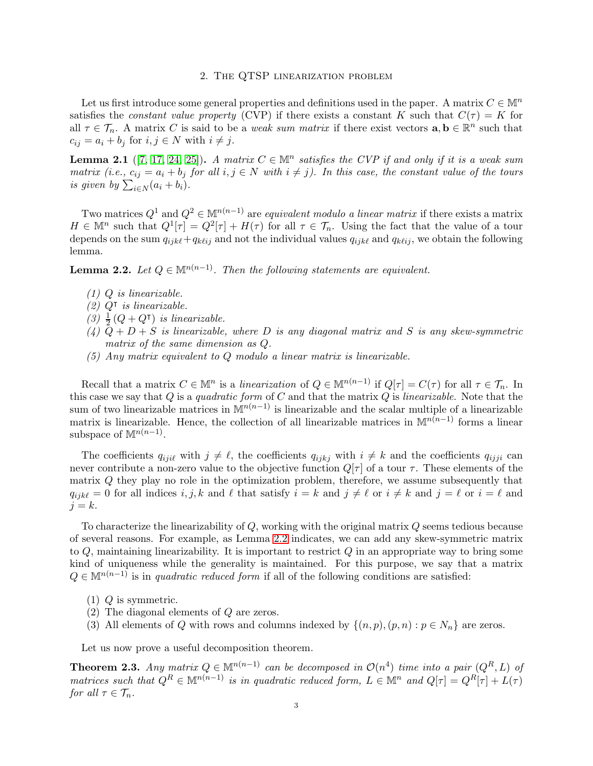# 2. The QTSP linearization problem

Let us first introduce some general properties and definitions used in the paper. A matrix  $C \in \mathbb{M}^n$ satisfies the *constant value property* (CVP) if there exists a constant K such that  $C(\tau) = K$  for all  $\tau \in \mathcal{T}_n$ . A matrix C is said to be a *weak sum matrix* if there exist vectors  $\mathbf{a}, \mathbf{b} \in \mathbb{R}^n$  such that  $c_{ij} = a_i + b_j$  for  $i, j \in N$  with  $i \neq j$ .

**Lemma 2.1** ([\[7,](#page-9-22) [17,](#page-9-23) [24,](#page-9-24) [25\]](#page-9-25)). A matrix  $C \in \mathbb{M}^n$  satisfies the CVP if and only if it is a weak sum matrix (i.e.,  $c_{ij} = a_i + b_j$  for all  $i, j \in N$  with  $i \neq j$ ). In this case, the constant value of the tours is given by  $\sum_{i\in N} (a_i + b_i)$ .

Two matrices  $Q^1$  and  $Q^2 \in \mathbb{M}^{n(n-1)}$  are *equivalent modulo a linear matrix* if there exists a matrix  $H \in \mathbb{M}^n$  such that  $Q^1[\tau] = Q^2[\tau] + H(\tau)$  for all  $\tau \in \mathcal{T}_n$ . Using the fact that the value of a tour depends on the sum  $q_{ijk\ell}+q_{k\ell ij}$  and not the individual values  $q_{ijk\ell}$  and  $q_{k\ell ij}$ , we obtain the following lemma.

<span id="page-2-0"></span>**Lemma 2.2.** Let  $Q \in \mathbb{M}^{n(n-1)}$ . Then the following statements are equivalent.

- (1) Q is linearizable.
- (2) Q<sup>⊺</sup> is linearizable.
- (3)  $\frac{1}{2}(Q+Q^{\intercal})$  is linearizable.
- (4)  $\overline{Q} + D + S$  is linearizable, where D is any diagonal matrix and S is any skew-symmetric matrix of the same dimension as Q.
- (5) Any matrix equivalent to Q modulo a linear matrix is linearizable.

Recall that a matrix  $C \in \mathbb{M}^n$  is a linearization of  $Q \in \mathbb{M}^{n(n-1)}$  if  $Q[\tau] = C(\tau)$  for all  $\tau \in \mathcal{T}_n$ . In this case we say that  $Q$  is a quadratic form of  $C$  and that the matrix  $Q$  is linearizable. Note that the sum of two linearizable matrices in  $\mathbb{M}^{n(n-1)}$  is linearizable and the scalar multiple of a linearizable matrix is linearizable. Hence, the collection of all linearizable matrices in  $\mathbb{M}^{n(n-1)}$  forms a linear subspace of  $\mathbb{M}^{n(n-1)}$ .

The coefficients  $q_{ijl}$  with  $j \neq \ell$ , the coefficients  $q_{ijkj}$  with  $i \neq k$  and the coefficients  $q_{ijji}$  can never contribute a non-zero value to the objective function  $Q[\tau]$  of a tour  $\tau$ . These elements of the matrix Q they play no role in the optimization problem, therefore, we assume subsequently that  $q_{ijk\ell} = 0$  for all indices  $i, j, k$  and  $\ell$  that satisfy  $i = k$  and  $j \neq \ell$  or  $i \neq k$  and  $j = \ell$  or  $i = \ell$  and  $j = k$ .

To characterize the linearizability of  $Q$ , working with the original matrix  $Q$  seems tedious because of several reasons. For example, as Lemma [2.2](#page-2-0) indicates, we can add any skew-symmetric matrix to  $Q$ , maintaining linearizability. It is important to restrict  $Q$  in an appropriate way to bring some kind of uniqueness while the generality is maintained. For this purpose, we say that a matrix  $Q \in \mathbb{M}^{n(n-1)}$  is in quadratic reduced form if all of the following conditions are satisfied:

- $(1)$  Q is symmetric.
- (2) The diagonal elements of Q are zeros.
- (3) All elements of Q with rows and columns indexed by  $\{(n, p), (p, n) : p \in N_n\}$  are zeros.

Let us now prove a useful decomposition theorem.

<span id="page-2-1"></span>**Theorem 2.3.** Any matrix  $Q \in \mathbb{M}^{n(n-1)}$  can be decomposed in  $\mathcal{O}(n^4)$  time into a pair  $(Q^R, L)$  of matrices such that  $Q^R \in \mathbb{M}^{n(n-1)}$  is in quadratic reduced form,  $L \in \mathbb{M}^n$  and  $Q[\tau] = Q^R[\tau] + L(\tau)$ for all  $\tau \in \mathcal{T}_n$ .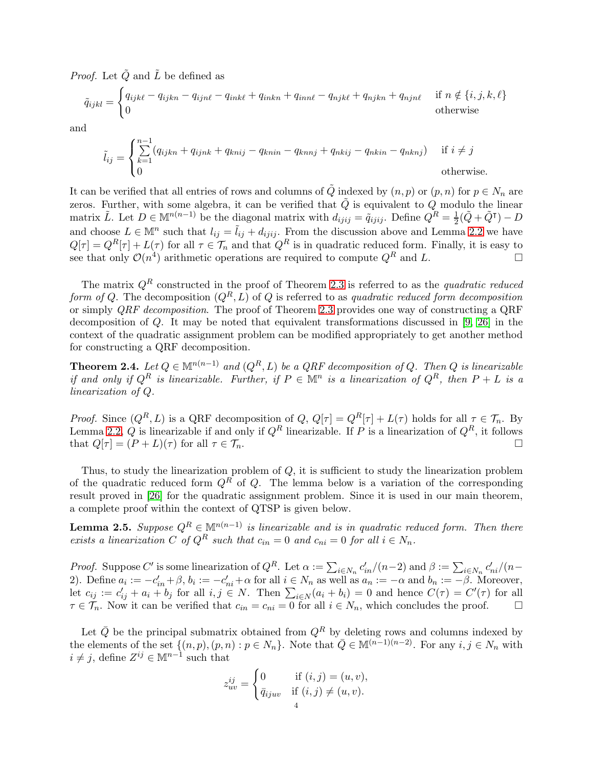*Proof.* Let  $\tilde{Q}$  and  $\tilde{L}$  be defined as

$$
\tilde{q}_{ijkl} = \begin{cases} q_{ijk\ell} - q_{ijkn} - q_{ijn\ell} - q_{ink\ell} + q_{inkn} + q_{inn\ell} - q_{njk\ell} + q_{njkn} + q_{njn\ell} & \text{if } n \notin \{i, j, k, \ell\} \\ 0 & \text{otherwise} \end{cases}
$$

and

$$
\tilde{l}_{ij} = \begin{cases}\n\sum_{k=1}^{n-1} (q_{ijkn} + q_{ijnk} + q_{knij} - q_{knn} - q_{knnj} + q_{nkij} - q_{nkin} - q_{nknj}) & \text{if } i \neq j \\
0 & \text{otherwise.} \n\end{cases}
$$

It can be verified that all entries of rows and columns of  $\tilde{Q}$  indexed by  $(n, p)$  or  $(p, n)$  for  $p \in N_n$  are zeros. Further, with some algebra, it can be verified that  $\tilde{Q}$  is equivalent to Q modulo the linear matrix  $\tilde{L}$ . Let  $D \in \mathbb{M}^{n(n-1)}$  be the diagonal matrix with  $d_{ijij} = \tilde{q}_{ijij}$ . Define  $Q^R = \frac{1}{2}$  $\frac{1}{2}(\tilde{Q} + \tilde{Q}^{\intercal}) - D$ and choose  $L \in \mathbb{M}^n$  such that  $l_{ij} = \tilde{l}_{ij} + d_{ijij}$ . From the discussion above and Lemma [2.2](#page-2-0) we have  $Q[\tau] = Q^R[\tau] + L(\tau)$  for all  $\tau \in \mathcal{T}_n$  and that  $Q^R$  is in quadratic reduced form. Finally, it is easy to see that only  $\mathcal{O}(n^4)$  arithmetic operations are required to compute  $Q^R$  and L.

The matrix  $Q<sup>R</sup>$  constructed in the proof of Theorem [2.3](#page-2-1) is referred to as the quadratic reduced form of Q. The decomposition  $(Q^R, L)$  of Q is referred to as quadratic reduced form decomposition or simply QRF decomposition. The proof of Theorem [2.3](#page-2-1) provides one way of constructing a QRF decomposition of Q. It may be noted that equivalent transformations discussed in [\[9,](#page-9-26) [26\]](#page-9-12) in the context of the quadratic assignment problem can be modified appropriately to get another method for constructing a QRF decomposition.

**Theorem 2.4.** Let  $Q \in \mathbb{M}^{n(n-1)}$  and  $(Q^R, L)$  be a QRF decomposition of Q. Then Q is linearizable if and only if  $Q^R$  is linearizable. Further, if  $P \in \mathbb{M}^n$  is a linearization of  $Q^R$ , then  $P + L$  is a linearization of Q.

*Proof.* Since  $(Q^R, L)$  is a QRF decomposition of  $Q$ ,  $Q[\tau] = Q^R[\tau] + L(\tau)$  holds for all  $\tau \in \mathcal{T}_n$ . By Lemma [2.2,](#page-2-0) Q is linearizable if and only if  $Q^R$  linearizable. If P is a linearization of  $Q^R$ , it follows that  $Q[\tau] = (P + L)(\tau)$  for all  $\tau \in \mathcal{T}_n$ .

Thus, to study the linearization problem of  $Q$ , it is sufficient to study the linearization problem of the quadratic reduced form  $Q^R$  of Q. The lemma below is a variation of the corresponding result proved in [\[26\]](#page-9-12) for the quadratic assignment problem. Since it is used in our main theorem, a complete proof within the context of QTSP is given below.

<span id="page-3-0"></span>**Lemma 2.5.** Suppose  $Q^R \in \mathbb{M}^{n(n-1)}$  is linearizable and is in quadratic reduced form. Then there exists a linearization C of  $Q^R$  such that  $c_{in} = 0$  and  $c_{ni} = 0$  for all  $i \in N_n$ .

*Proof.* Suppose C' is some linearization of  $Q^R$ . Let  $\alpha := \sum_{i \in N_n} c'_{in}/(n-2)$  and  $\beta := \sum_{i \in N_n} c'_{ni}/(n-2)$ 2). Define  $a_i := -c'_{in} + \beta$ ,  $b_i := -c'_{ni} + \alpha$  for all  $i \in N_n$  as well as  $a_n := -\alpha$  and  $b_n := -\beta$ . Moreover, let  $c_{ij} := c'_{ij} + a_i + b_j$  for all  $i, j \in N$ . Then  $\sum_{i \in N} (a_i + b_i) = 0$  and hence  $C(\tau) = C'(\tau)$  for all  $\tau \in \mathcal{T}_n$ . Now it can be verified that  $c_{in} = c_{ni} = 0$  for all  $i \in N_n$ , which concludes the proof.  $\Box$ 

Let  $\overline{Q}$  be the principal submatrix obtained from  $Q^R$  by deleting rows and columns indexed by the elements of the set  $\{(n, p), (p, n) : p \in N_n\}$ . Note that  $\overline{Q} \in M^{(n-1)(n-2)}$ . For any  $i, j \in N_n$  with  $i \neq j$ , define  $Z^{ij} \in \mathbb{M}^{n-1}$  such that

$$
z_{uv}^{ij} = \begin{cases} 0 & \text{if } (i,j) = (u,v), \\ \bar{q}_{ijuv} & \text{if } (i,j) \neq (u,v). \end{cases}
$$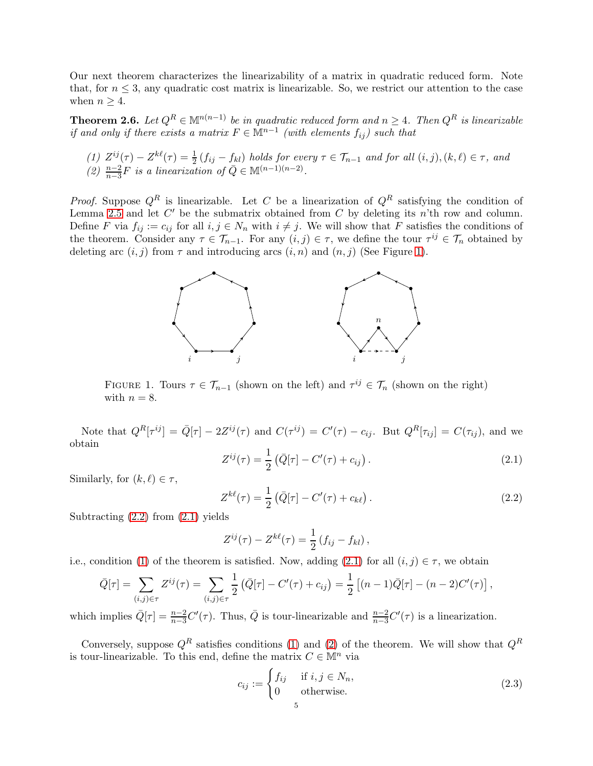Our next theorem characterizes the linearizability of a matrix in quadratic reduced form. Note that, for  $n \leq 3$ , any quadratic cost matrix is linearizable. So, we restrict our attention to the case when  $n \geq 4$ .

<span id="page-4-5"></span>**Theorem 2.6.** Let  $Q^R \in \mathbb{M}^{n(n-1)}$  be in quadratic reduced form and  $n \geq 4$ . Then  $Q^R$  is linearizable if and only if there exists a matrix  $F \in \mathbb{M}^{n-1}$  (with elements  $f_{ij}$ ) such that

- <span id="page-4-4"></span><span id="page-4-3"></span>(1)  $Z^{ij}(\tau) - Z^{k\ell}(\tau) = \frac{1}{2} (f_{ij} - f_{kl})$  holds for every  $\tau \in \mathcal{T}_{n-1}$  and for all  $(i, j), (k, \ell) \in \tau$ , and
- (2)  $\frac{n-2}{n-3}F$  is a linearization of  $\overline{Q} \in \mathbb{M}^{(n-1)(n-2)}$ .

*Proof.* Suppose  $Q^R$  is linearizable. Let C be a linearization of  $Q^R$  satisfying the condition of Lemma [2.5](#page-3-0) and let  $C'$  be the submatrix obtained from  $C$  by deleting its  $n't$ h row and column. Define F via  $f_{ij} := c_{ij}$  for all  $i, j \in N_n$  with  $i \neq j$ . We will show that F satisfies the conditions of the theorem. Consider any  $\tau \in \mathcal{T}_{n-1}$ . For any  $(i, j) \in \tau$ , we define the tour  $\tau^{ij} \in \mathcal{T}_n$  obtained by deleting arc  $(i, j)$  from  $\tau$  and introducing arcs  $(i, n)$  and  $(n, j)$  (See Figure [1\)](#page-4-0).



<span id="page-4-0"></span>FIGURE 1. Tours  $\tau \in \mathcal{T}_{n-1}$  (shown on the left) and  $\tau^{ij} \in \mathcal{T}_n$  (shown on the right) with  $n = 8$ .

Note that  $Q^R[\tau^{ij}] = \overline{Q}[\tau] - 2Z^{ij}(\tau)$  and  $C(\tau^{ij}) = C'(\tau) - c_{ij}$ . But  $Q^R[\tau_{ij}] = C(\tau_{ij})$ , and we obtain

<span id="page-4-2"></span>
$$
Z^{ij}(\tau) = \frac{1}{2} \left( \bar{Q}[\tau] - C'(\tau) + c_{ij} \right). \tag{2.1}
$$

Similarly, for  $(k, \ell) \in \tau$ ,

<span id="page-4-1"></span>
$$
Z^{k\ell}(\tau) = \frac{1}{2} \left( \bar{Q}[\tau] - C'(\tau) + c_{k\ell} \right).
$$
 (2.2)

Subtracting  $(2.2)$  from  $(2.1)$  yields

$$
Z^{ij}(\tau)-Z^{k\ell}(\tau)=\frac{1}{2}\left(f_{ij}-f_{kl}\right),\,
$$

i.e., condition [\(1\)](#page-4-3) of the theorem is satisfied. Now, adding [\(2.1\)](#page-4-2) for all  $(i, j) \in \tau$ , we obtain

$$
\bar{Q}[\tau] = \sum_{(i,j)\in\tau} Z^{ij}(\tau) = \sum_{(i,j)\in\tau} \frac{1}{2} \left( \bar{Q}[\tau] - C'(\tau) + c_{ij} \right) = \frac{1}{2} \left[ (n-1)\bar{Q}[\tau] - (n-2)C'(\tau) \right],
$$

which implies  $\overline{Q}[\tau] = \frac{n-2}{n-3}C'(\tau)$ . Thus,  $\overline{Q}$  is tour-linearizable and  $\frac{n-2}{n-3}C'(\tau)$  is a linearization.

Conversely, suppose  $Q^R$  satisfies conditions [\(1\)](#page-4-3) and [\(2\)](#page-4-4) of the theorem. We will show that  $Q^R$ is tour-linearizable. To this end, define the matrix  $C \in \mathbb{M}^n$  via

<span id="page-4-6"></span>
$$
c_{ij} := \begin{cases} f_{ij} & \text{if } i, j \in N_n, \\ 0 & \text{otherwise.} \end{cases}
$$
 (2.3)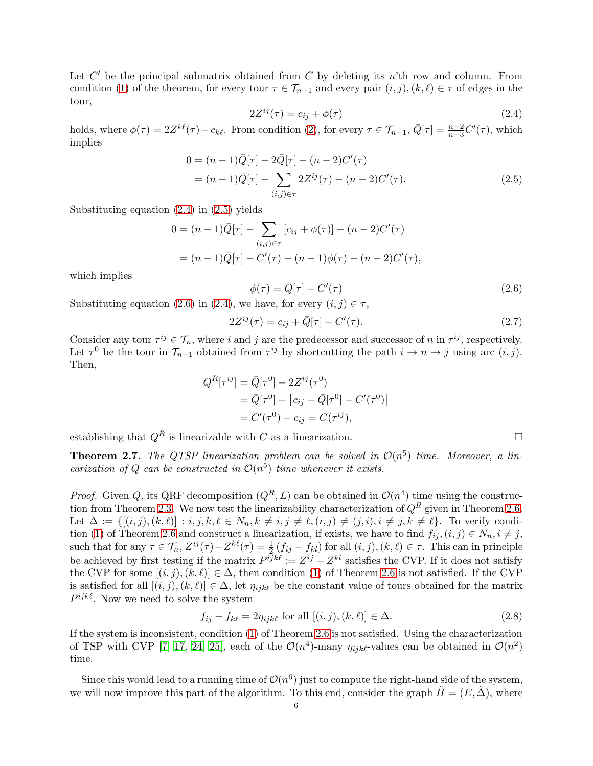Let  $C'$  be the principal submatrix obtained from  $C$  by deleting its n'th row and column. From condition [\(1\)](#page-4-3) of the theorem, for every tour  $\tau \in \mathcal{T}_{n-1}$  and every pair  $(i, j)$ ,  $(k, \ell) \in \tau$  of edges in the tour,

<span id="page-5-1"></span><span id="page-5-0"></span>
$$
2Z^{ij}(\tau) = c_{ij} + \phi(\tau) \tag{2.4}
$$

holds, where  $\phi(\tau) = 2Z^{k\ell}(\tau) - c_{k\ell}$ . From condition [\(2\)](#page-4-4), for every  $\tau \in \mathcal{T}_{n-1}$ ,  $\bar{Q}[\tau] = \frac{n-2}{n-3}C'(\tau)$ , which implies

$$
0 = (n - 1)\overline{Q}[\tau] - 2\overline{Q}[\tau] - (n - 2)C'(\tau)
$$
  
=  $(n - 1)\overline{Q}[\tau] - \sum_{(i,j)\in\tau} 2Z^{ij}(\tau) - (n - 2)C'(\tau).$  (2.5)

Substituting equation [\(2.4\)](#page-5-0) in [\(2.5\)](#page-5-1) yields

$$
0 = (n - 1)\overline{Q}[\tau] - \sum_{(i,j)\in\tau} [c_{ij} + \phi(\tau)] - (n - 2)C'(\tau)
$$
  
=  $(n - 1)\overline{Q}[\tau] - C'(\tau) - (n - 1)\phi(\tau) - (n - 2)C'(\tau),$ 

which implies

<span id="page-5-2"></span>
$$
\phi(\tau) = \bar{Q}[\tau] - C'(\tau) \tag{2.6}
$$

Substituting equation [\(2.6\)](#page-5-2) in [\(2.4\)](#page-5-0), we have, for every  $(i, j) \in \tau$ ,

$$
2Z^{ij}(\tau) = c_{ij} + \bar{Q}[\tau] - C'(\tau). \tag{2.7}
$$

Consider any tour  $\tau^{ij} \in \mathcal{T}_n$ , where i and j are the predecessor and successor of n in  $\tau^{ij}$ , respectively. Let  $\tau^0$  be the tour in  $\mathcal{T}_{n-1}$  obtained from  $\tau^{ij}$  by shortcutting the path  $i \to n \to j$  using arc  $(i, j)$ . Then,

$$
Q^{R}[\tau^{ij}] = \bar{Q}[\tau^{0}] - 2Z^{ij}(\tau^{0})
$$
  
=  $\bar{Q}[\tau^{0}] - [c_{ij} + \bar{Q}[\tau^{0}] - C'(\tau^{0})]$   
=  $C'(\tau^{0}) - c_{ij} = C(\tau^{ij}),$ 

establishing that  $Q^R$  is linearizable with C as a linearization.

**Theorem 2.7.** The QTSP linearization problem can be solved in  $\mathcal{O}(n^5)$  time. Moreover, a linearization of Q can be constructed in  $\mathcal{O}(n^5)$  time whenever it exists.

*Proof.* Given Q, its QRF decomposition  $(Q^R, L)$  can be obtained in  $\mathcal{O}(n^4)$  time using the construc-tion from Theorem [2.3.](#page-2-1) We now test the linearizability characterization of  $Q<sup>R</sup>$  given in Theorem [2.6.](#page-4-5) Let  $\Delta := \{[(i, j), (k, \ell)] : i, j, k, \ell \in N_n, k \neq i, j \neq \ell, (i, j) \neq (j, i), i \neq j, k \neq \ell\}.$  To verify condi-tion [\(1\)](#page-4-3) of Theorem [2.6](#page-4-5) and construct a linearization, if exists, we have to find  $f_{ij}$ ,  $(i, j) \in N_n$ ,  $i \neq j$ , such that for any  $\tau \in \mathcal{T}_n$ ,  $Z^{ij}(\tau) - Z^{k\ell}(\tau) = \frac{1}{2} (f_{ij} - f_{kl})$  for all  $(i, j)$ ,  $(k, \ell) \in \tau$ . This can in principle be achieved by first testing if the matrix  $P^{ijk\ell} := Z^{ij} - Z^{kl}$  satisfies the CVP. If it does not satisfy the CVP for some  $[(i, j), (k, \ell)] \in \Delta$ , then condition [\(1\)](#page-4-3) of Theorem [2.6](#page-4-5) is not satisfied. If the CVP is satisfied for all  $[(i, j), (k, \ell)] \in \Delta$ , let  $\eta_{ijk\ell}$  be the constant value of tours obtained for the matrix  $P^{ijk\ell}$ . Now we need to solve the system

<span id="page-5-3"></span>
$$
f_{ij} - f_{k\ell} = 2\eta_{ijk\ell} \text{ for all } [(i, j), (k, \ell)] \in \Delta.
$$
 (2.8)

If the system is inconsistent, condition [\(1\)](#page-4-3) of Theorem [2.6](#page-4-5) is not satisfied. Using the characterization of TSP with CVP [\[7,](#page-9-22) [17,](#page-9-23) [24,](#page-9-24) [25\]](#page-9-25), each of the  $\mathcal{O}(n^4)$ -many  $\eta_{ijk\ell}$ -values can be obtained in  $\mathcal{O}(n^2)$ time.

Since this would lead to a running time of  $\mathcal{O}(n^6)$  just to compute the right-hand side of the system, we will now improve this part of the algorithm. To this end, consider the graph  $\tilde{H} = (E, \tilde{\Delta})$ , where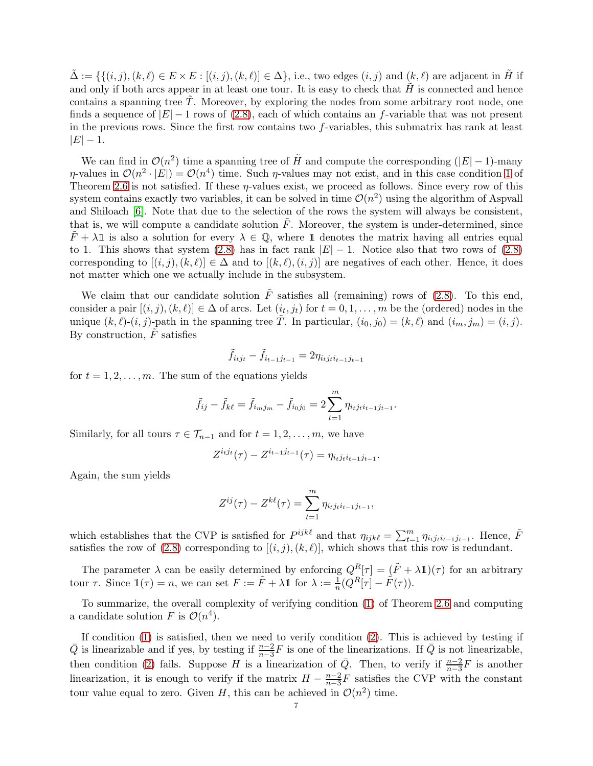$\Delta := \{ \{(i, j), (k, \ell) \in E \times E : [(i, j), (k, \ell)] \in \Delta \}, \text{ i.e., two edges } (i, j) \text{ and } (k, \ell) \text{ are adjacent in } H \text{ if }$ and only if both arcs appear in at least one tour. It is easy to check that  $H$  is connected and hence contains a spanning tree  $T$ . Moreover, by exploring the nodes from some arbitrary root node, one finds a sequence of  $|E| - 1$  rows of [\(2.8\)](#page-5-3), each of which contains an f-variable that was not present in the previous rows. Since the first row contains two f-variables, this submatrix has rank at least  $|E| - 1.$ 

We can find in  $\mathcal{O}(n^2)$  time a spanning tree of  $\tilde{H}$  and compute the corresponding (|E| – 1)-many  $\eta$ -values in  $\mathcal{O}(n^2 \cdot |E|) = \mathcal{O}(n^4)$  time. Such  $\eta$ -values may not exist, and in this case condition [1](#page-4-3) of Theorem [2.6](#page-4-5) is not satisfied. If these  $\eta$ -values exist, we proceed as follows. Since every row of this system contains exactly two variables, it can be solved in time  $\mathcal{O}(n^2)$  using the algorithm of Aspvall and Shiloach [\[6\]](#page-8-5). Note that due to the selection of the rows the system will always be consistent, that is, we will compute a candidate solution  $\tilde{F}$ . Moreover, the system is under-determined, since  $\overline{F} + \lambda \mathbb{1}$  is also a solution for every  $\lambda \in \mathbb{Q}$ , where  $\mathbb{1}$  denotes the matrix having all entries equal to 1. This shows that system [\(2.8\)](#page-5-3) has in fact rank  $|E| - 1$ . Notice also that two rows of (2.8) corresponding to  $[(i, j), (k, \ell)] \in \Delta$  and to  $[(k, \ell), (i, j)]$  are negatives of each other. Hence, it does not matter which one we actually include in the subsystem.

We claim that our candidate solution  $\tilde{F}$  satisfies all (remaining) rows of [\(2.8\)](#page-5-3). To this end, consider a pair  $[(i, j), (k, \ell)] \in \Delta$  of arcs. Let  $(i_t, j_t)$  for  $t = 0, 1, \ldots, m$  be the (ordered) nodes in the unique  $(k, \ell)$ - $(i, j)$ -path in the spanning tree  $\tilde{T}$ . In particular,  $(i_0, j_0) = (k, \ell)$  and  $(i_m, j_m) = (i, j)$ . By construction,  $\tilde{F}$  satisfies

$$
\tilde{f}_{i_tj_t} - \tilde{f}_{i_{t-1}j_{t-1}} = 2\eta_{i_tj_ti_{t-1}j_{t-1}}
$$

for  $t = 1, 2, \ldots, m$ . The sum of the equations yields

$$
\tilde{f}_{ij} - \tilde{f}_{k\ell} = \tilde{f}_{i_m j_m} - \tilde{f}_{i_0 j_0} = 2 \sum_{t=1}^{m} \eta_{i_t j_t i_{t-1} j_{t-1}}.
$$

Similarly, for all tours  $\tau \in \mathcal{T}_{n-1}$  and for  $t = 1, 2, \ldots, m$ , we have

$$
Z^{i_t j_t}(\tau) - Z^{i_{t-1} j_{t-1}}(\tau) = \eta_{i_t j_t i_{t-1} j_{t-1}}.
$$

Again, the sum yields

$$
Z^{ij}(\tau) - Z^{k\ell}(\tau) = \sum_{t=1}^{m} \eta_{i_t j_t i_{t-1} j_{t-1}},
$$

which establishes that the CVP is satisfied for  $P^{ijk\ell}$  and that  $\eta_{ijk\ell} = \sum_{t=1}^{m} \eta_{ij} f^{i\ell-1} j_{t-1}$ . Hence,  $\tilde{F}$ satisfies the row of  $(2.8)$  corresponding to  $[(i, j), (k, \ell)]$ , which shows that this row is redundant.

The parameter  $\lambda$  can be easily determined by enforcing  $Q^R[\tau] = (\tilde{F} + \lambda \mathbb{1})(\tau)$  for an arbitrary tour  $\tau$ . Since  $\mathbb{1}(\tau) = n$ , we can set  $F := \tilde{F} + \lambda \mathbb{1}$  for  $\lambda := \frac{1}{n}(Q^R[\tau] - \tilde{F}(\tau))$ .

To summarize, the overall complexity of verifying condition [\(1\)](#page-4-3) of Theorem [2.6](#page-4-5) and computing a candidate solution F is  $\mathcal{O}(n^4)$ .

If condition  $(1)$  is satisfied, then we need to verify condition  $(2)$ . This is achieved by testing if  $\overline{Q}$  is linearizable and if yes, by testing if  $\frac{n-2}{n-3}F$  is one of the linearizations. If  $\overline{Q}$  is not linearizable, then condition [\(2\)](#page-4-4) fails. Suppose H is a linearization of  $\overline{Q}$ . Then, to verify if  $\frac{n-2}{n-3}F$  is another linearization, it is enough to verify if the matrix  $H - \frac{n-2}{n-3}$  $\frac{n-2}{n-3}F$  satisfies the CVP with the constant tour value equal to zero. Given H, this can be achieved in  $\mathcal{O}(n^2)$  time.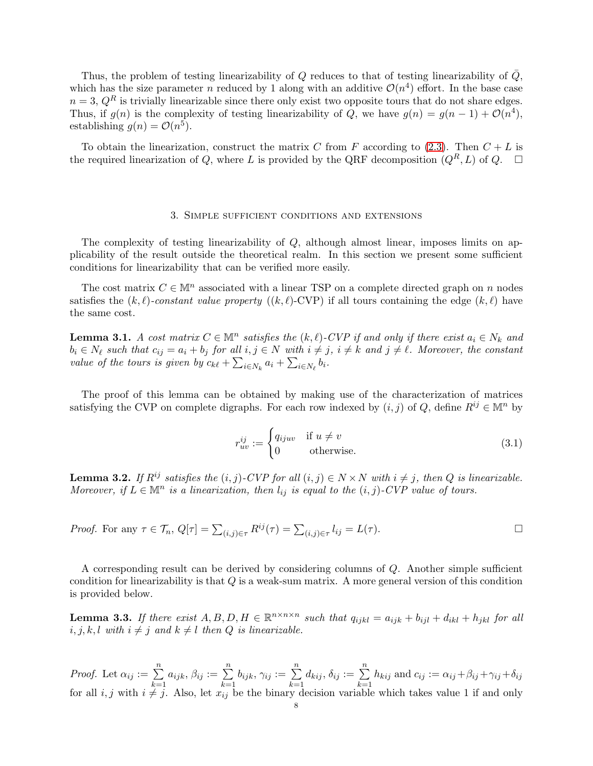Thus, the problem of testing linearizability of Q reduces to that of testing linearizability of  $\overline{Q}$ , which has the size parameter n reduced by 1 along with an additive  $\mathcal{O}(n^4)$  effort. In the base case  $n = 3$ ,  $Q<sup>R</sup>$  is trivially linearizable since there only exist two opposite tours that do not share edges. Thus, if  $g(n)$  is the complexity of testing linearizability of Q, we have  $g(n) = g(n-1) + \mathcal{O}(n^4)$ , establishing  $g(n) = \mathcal{O}(n^5)$ .

To obtain the linearization, construct the matrix C from F according to  $(2.3)$ . Then  $C + L$  is the required linearization of Q, where L is provided by the QRF decomposition  $(Q^R, L)$  of Q.  $\Box$ 

#### 3. Simple sufficient conditions and extensions

The complexity of testing linearizability of  $Q$ , although almost linear, imposes limits on applicability of the result outside the theoretical realm. In this section we present some sufficient conditions for linearizability that can be verified more easily.

The cost matrix  $C \in \mathbb{M}^n$  associated with a linear TSP on a complete directed graph on n nodes satisfies the  $(k, \ell)$ -constant value property  $((k, \ell)$ -CVP) if all tours containing the edge  $(k, \ell)$  have the same cost.

**Lemma 3.1.** A cost matrix  $C \in \mathbb{M}^n$  satisfies the  $(k, \ell)$ -CVP if and only if there exist  $a_i \in N_k$  and  $b_i \in N_\ell$  such that  $c_{ij} = a_i + b_j$  for all  $i, j \in N$  with  $i \neq j$ ,  $i \neq k$  and  $j \neq \ell$ . Moreover, the constant value of the tours is given by  $c_{k\ell} + \sum_{i \in N_k} a_i + \sum_{i \in N_\ell} b_i$ .

The proof of this lemma can be obtained by making use of the characterization of matrices satisfying the CVP on complete digraphs. For each row indexed by  $(i, j)$  of Q, define  $R^{ij} \in \mathbb{M}^n$  by

$$
r_{uv}^{ij} := \begin{cases} q_{ijuv} & \text{if } u \neq v \\ 0 & \text{otherwise.} \end{cases}
$$
 (3.1)

**Lemma 3.2.** If  $R^{ij}$  satisfies the  $(i, j)$ -CVP for all  $(i, j) \in N \times N$  with  $i \neq j$ , then Q is linearizable. Moreover, if  $L \in \mathbb{M}^n$  is a linearization, then  $l_{ij}$  is equal to the  $(i, j)$ -CVP value of tours.

*Proof.* For any 
$$
\tau \in \mathcal{T}_n
$$
,  $Q[\tau] = \sum_{(i,j)\in\tau} R^{ij}(\tau) = \sum_{(i,j)\in\tau} l_{ij} = L(\tau)$ .

A corresponding result can be derived by considering columns of Q. Another simple sufficient condition for linearizability is that Q is a weak-sum matrix. A more general version of this condition is provided below.

**Lemma 3.3.** If there exist  $A, B, D, H \in \mathbb{R}^{n \times n \times n}$  such that  $q_{ijkl} = a_{ijk} + b_{ijl} + d_{ikl} + h_{jkl}$  for all  $i, j, k, l$  with  $i \neq j$  and  $k \neq l$  then  $Q$  is linearizable.

*Proof.* Let  $\alpha_{ij} := \sum_{i=1}^{n}$  $k=1$  $a_{ijk}, \beta_{ij} := \sum_{i=1}^{n}$  $_{k=1}$  $b_{ijk}, \gamma_{ij} := \sum_{i=1}^{n}$  $k=1$  $d_{kij}, \delta_{ij} := \sum_{i=1}^{n}$  $k=1$  $h_{kij}$  and  $c_{ij} := \alpha_{ij} + \beta_{ij} + \gamma_{ij} + \delta_{ij}$ for all  $i, j$  with  $i \neq j$ . Also, let  $x_{ij}$  be the binary decision variable which takes value 1 if and only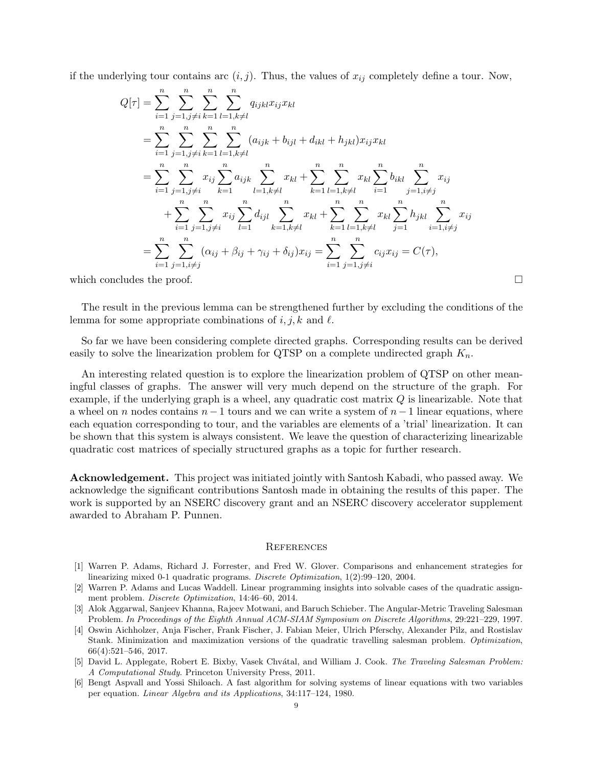if the underlying tour contains arc  $(i, j)$ . Thus, the values of  $x_{ij}$  completely define a tour. Now,

$$
Q[\tau] = \sum_{i=1}^{n} \sum_{j=1, j\neq i}^{n} \sum_{k=1}^{n} \sum_{l=1, k\neq l}^{n} q_{ijkl} x_{ij} x_{kl}
$$
  
\n
$$
= \sum_{i=1}^{n} \sum_{j=1, j\neq i}^{n} \sum_{k=1}^{n} \sum_{l=1, k\neq l}^{n} (a_{ijk} + b_{ijl} + d_{ikl} + h_{jkl}) x_{ij} x_{kl}
$$
  
\n
$$
= \sum_{i=1}^{n} \sum_{j=1, j\neq i}^{n} x_{ij} \sum_{k=1}^{n} a_{ijk} \sum_{l=1, k\neq l}^{n} x_{kl} + \sum_{k=1}^{n} \sum_{l=1, k\neq l}^{n} x_{kl} \sum_{i=1}^{n} b_{ikl} \sum_{j=1, i\neq j}^{n} x_{ij}
$$
  
\n
$$
+ \sum_{i=1}^{n} \sum_{j=1, j\neq i}^{n} x_{ij} \sum_{l=1}^{n} d_{ijl} \sum_{k=1, k\neq l}^{n} x_{kl} + \sum_{k=1}^{n} \sum_{l=1, k\neq l}^{n} x_{kl} \sum_{j=1}^{n} b_{jkl} \sum_{i=1, i\neq j}^{n} x_{ij}
$$
  
\n
$$
= \sum_{i=1}^{n} \sum_{j=1, i\neq j}^{n} (\alpha_{ij} + \beta_{ij} + \gamma_{ij} + \delta_{ij}) x_{ij} = \sum_{i=1}^{n} \sum_{j=1, j\neq i}^{n} c_{ij} x_{ij} = C(\tau),
$$

which concludes the proof.  $\Box$ 

The result in the previous lemma can be strengthened further by excluding the conditions of the lemma for some appropriate combinations of  $i, j, k$  and  $\ell$ .

So far we have been considering complete directed graphs. Corresponding results can be derived easily to solve the linearization problem for QTSP on a complete undirected graph  $K_n$ .

An interesting related question is to explore the linearization problem of QTSP on other meaningful classes of graphs. The answer will very much depend on the structure of the graph. For example, if the underlying graph is a wheel, any quadratic cost matrix  $Q$  is linearizable. Note that a wheel on n nodes contains  $n-1$  tours and we can write a system of  $n-1$  linear equations, where each equation corresponding to tour, and the variables are elements of a 'trial' linearization. It can be shown that this system is always consistent. We leave the question of characterizing linearizable quadratic cost matrices of specially structured graphs as a topic for further research.

Acknowledgement. This project was initiated jointly with Santosh Kabadi, who passed away. We acknowledge the significant contributions Santosh made in obtaining the results of this paper. The work is supported by an NSERC discovery grant and an NSERC discovery accelerator supplement awarded to Abraham P. Punnen.

### **REFERENCES**

- <span id="page-8-4"></span>[1] Warren P. Adams, Richard J. Forrester, and Fred W. Glover. Comparisons and enhancement strategies for linearizing mixed 0-1 quadratic programs. *Discrete Optimization*, 1(2):99–120, 2004.
- <span id="page-8-3"></span>[2] Warren P. Adams and Lucas Waddell. Linear programming insights into solvable cases of the quadratic assignment problem. *Discrete Optimization*, 14:46–60, 2014.
- <span id="page-8-2"></span>[3] Alok Aggarwal, Sanjeev Khanna, Rajeev Motwani, and Baruch Schieber. The Angular-Metric Traveling Salesman Problem. *In Proceedings of the Eighth Annual ACM-SIAM Symposium on Discrete Algorithms*, 29:221–229, 1997.
- <span id="page-8-1"></span>[4] Oswin Aichholzer, Anja Fischer, Frank Fischer, J. Fabian Meier, Ulrich Pferschy, Alexander Pilz, and Rostislav Stank. Minimization and maximization versions of the quadratic travelling salesman problem. *Optimization*, 66(4):521–546, 2017.
- <span id="page-8-0"></span>[5] David L. Applegate, Robert E. Bixby, Vasek Chv´atal, and William J. Cook. *The Traveling Salesman Problem: A Computational Study*. Princeton University Press, 2011.
- <span id="page-8-5"></span>[6] Bengt Aspvall and Yossi Shiloach. A fast algorithm for solving systems of linear equations with two variables per equation. *Linear Algebra and its Applications*, 34:117–124, 1980.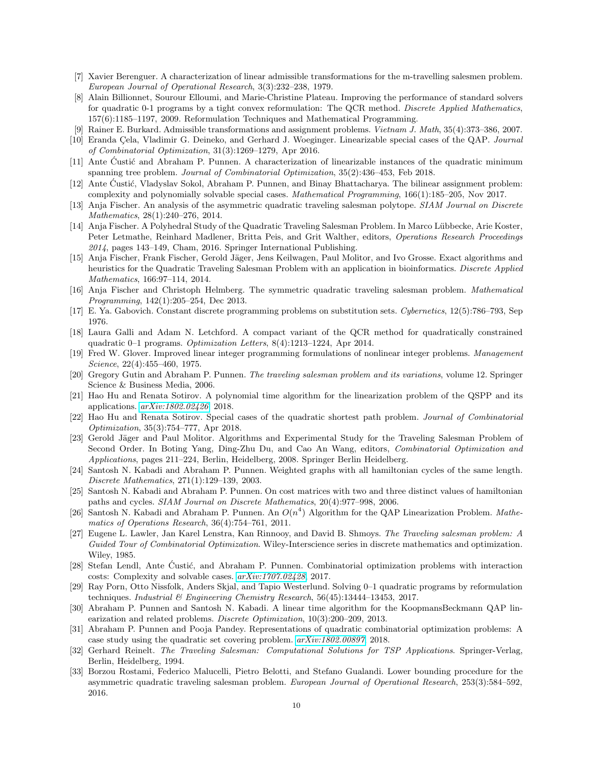- <span id="page-9-22"></span><span id="page-9-18"></span>[7] Xavier Berenguer. A characterization of linear admissible transformations for the m-travelling salesmen problem. *European Journal of Operational Research*, 3(3):232–238, 1979.
- [8] Alain Billionnet, Sourour Elloumi, and Marie-Christine Plateau. Improving the performance of standard solvers for quadratic 0-1 programs by a tight convex reformulation: The QCR method. *Discrete Applied Mathematics*, 157(6):1185–1197, 2009. Reformulation Techniques and Mathematical Programming.
- <span id="page-9-26"></span><span id="page-9-9"></span>[9] Rainer E. Burkard. Admissible transformations and assignment problems. *Vietnam J. Math*, 35(4):373–386, 2007.
- <span id="page-9-11"></span>[10] Eranda Cela, Vladimir G. Deineko, and Gerhard J. Woeginger. Linearizable special cases of the QAP. *Journal of Combinatorial Optimization*, 31(3):1269–1279, Apr 2016.
- [11] Ante Custić and Abraham P. Punnen. A characterization of linearizable instances of the quadratic minimum spanning tree problem. *Journal of Combinatorial Optimization*, 35(2):436–453, Feb 2018.
- <span id="page-9-10"></span>[12] Ante Custić, Vladyslav Sokol, Abraham P. Punnen, and Binay Bhattacharya. The bilinear assignment problem: complexity and polynomially solvable special cases. *Mathematical Programming*, 166(1):185–205, Nov 2017.
- <span id="page-9-4"></span><span id="page-9-3"></span>[13] Anja Fischer. An analysis of the asymmetric quadratic traveling salesman polytope. *SIAM Journal on Discrete Mathematics*, 28(1):240–276, 2014.
- [14] Anja Fischer. A Polyhedral Study of the Quadratic Traveling Salesman Problem. In Marco L¨ubbecke, Arie Koster, Peter Letmathe, Reinhard Madlener, Britta Peis, and Grit Walther, editors, *Operations Research Proceedings 2014*, pages 143–149, Cham, 2016. Springer International Publishing.
- <span id="page-9-5"></span>[15] Anja Fischer, Frank Fischer, Gerold Jäger, Jens Keilwagen, Paul Molitor, and Ivo Grosse. Exact algorithms and heuristics for the Quadratic Traveling Salesman Problem with an application in bioinformatics. *Discrete Applied Mathematics*, 166:97–114, 2014.
- <span id="page-9-6"></span>[16] Anja Fischer and Christoph Helmberg. The symmetric quadratic traveling salesman problem. *Mathematical Programming*, 142(1):205–254, Dec 2013.
- <span id="page-9-23"></span><span id="page-9-20"></span>[17] E. Ya. Gabovich. Constant discrete programming problems on substitution sets. *Cybernetics*, 12(5):786–793, Sep 1976.
- [18] Laura Galli and Adam N. Letchford. A compact variant of the QCR method for quadratically constrained quadratic 0–1 programs. *Optimization Letters*, 8(4):1213–1224, Apr 2014.
- <span id="page-9-21"></span>[19] Fred W. Glover. Improved linear integer programming formulations of nonlinear integer problems. *Management Science*, 22(4):455–460, 1975.
- <span id="page-9-17"></span><span id="page-9-0"></span>[20] Gregory Gutin and Abraham P. Punnen. *The traveling salesman problem and its variations*, volume 12. Springer Science & Business Media, 2006.
- [21] Hao Hu and Renata Sotirov. A polynomial time algorithm for the linearization problem of the QSPP and its applications. *[arXiv:1802.02426](http://arxiv.org/abs/1802.02426)*, 2018.
- <span id="page-9-16"></span>[22] Hao Hu and Renata Sotirov. Special cases of the quadratic shortest path problem. *Journal of Combinatorial Optimization*, 35(3):754–777, Apr 2018.
- <span id="page-9-7"></span>[23] Gerold Jäger and Paul Molitor. Algorithms and Experimental Study for the Traveling Salesman Problem of Second Order. In Boting Yang, Ding-Zhu Du, and Cao An Wang, editors, *Combinatorial Optimization and Applications*, pages 211–224, Berlin, Heidelberg, 2008. Springer Berlin Heidelberg.
- <span id="page-9-24"></span>[24] Santosh N. Kabadi and Abraham P. Punnen. Weighted graphs with all hamiltonian cycles of the same length. *Discrete Mathematics*, 271(1):129–139, 2003.
- <span id="page-9-25"></span>[25] Santosh N. Kabadi and Abraham P. Punnen. On cost matrices with two and three distinct values of hamiltonian paths and cycles. *SIAM Journal on Discrete Mathematics*, 20(4):977–998, 2006.
- <span id="page-9-12"></span>[26] Santosh N. Kabadi and Abraham P. Punnen. An O(n 4 ) Algorithm for the QAP Linearization Problem. *Mathematics of Operations Research*, 36(4):754–761, 2011.
- <span id="page-9-1"></span>[27] Eugene L. Lawler, Jan Karel Lenstra, Kan Rinnooy, and David B. Shmoys. *The Traveling salesman problem: A Guided Tour of Combinatorial Optimization*. Wiley-Interscience series in discrete mathematics and optimization. Wiley, 1985.
- <span id="page-9-13"></span>[28] Stefan Lendl, Ante Custić, and Abraham P. Punnen. Combinatorial optimization problems with interaction costs: Complexity and solvable cases. *[arXiv:1707.02428](http://arxiv.org/abs/1707.02428)*, 2017.
- <span id="page-9-19"></span>[29] Ray Porn, Otto Nissfolk, Anders Skjal, and Tapio Westerlund. Solving 0–1 quadratic programs by reformulation techniques. *Industrial & Engineering Chemistry Research*, 56(45):13444–13453, 2017.
- <span id="page-9-14"></span>[30] Abraham P. Punnen and Santosh N. Kabadi. A linear time algorithm for the KoopmansBeckmann QAP linearization and related problems. *Discrete Optimization*, 10(3):200–209, 2013.
- <span id="page-9-15"></span>[31] Abraham P. Punnen and Pooja Pandey. Representations of quadratic combinatorial optimization problems: A case study using the quadratic set covering problem. *[arXiv:1802.00897](http://arxiv.org/abs/1802.00897)*, 2018.
- <span id="page-9-2"></span>[32] Gerhard Reinelt. *The Traveling Salesman: Computational Solutions for TSP Applications*. Springer-Verlag, Berlin, Heidelberg, 1994.
- <span id="page-9-8"></span>[33] Borzou Rostami, Federico Malucelli, Pietro Belotti, and Stefano Gualandi. Lower bounding procedure for the asymmetric quadratic traveling salesman problem. *European Journal of Operational Research*, 253(3):584–592, 2016.